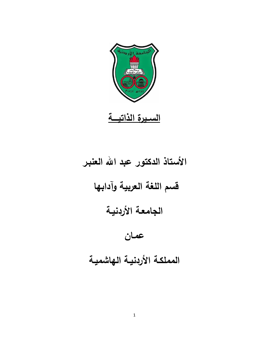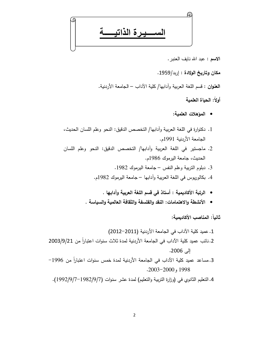يرة الذاتيه

الاسع : عبد الله نايف العنبر .

مكان وتاريخ الولادة : إربد/1959.

ا**لعنوان** : قسم اللغة العربية وآدابها/ كلية الآداب – الجامعة الأردنية.

أولاً: الحباة العلمية

- المؤهلات العلمية:
- 1. دكتوارة في اللغة العربية وآدابها/ التخصص الدقيق: النحو وعلم اللسان الحديث، الجامعة الأردنية 1991م.
- 2. ماجستير في اللغة العربية وأدابها/ التخصص الدقيق: النحو وعلم اللسان الحديث، جامعة اليرموك 1986م.
	- 3. دبلوم النزبية وعلم النفس جامعة اليرموك 1982.
	- 4. بكالوريوس في اللغة العربية وأدابها جامعة اليرموك 1982م.
		- الرتبة الأكاديمية : أستاذ في قسم اللغة العربية وآدابها .
	- الأنشطة والاهتمامات: النفد والفلسفة والثقافة العالمية والسياسة .

ثانياً: المناصب الأكاديمية:

3. مساعد عميد كلية الآداب في الجامعة الأردنية لمدة خمس سنوات اعتباراً من 1996–  $.2003 - 2000, 1998$ 

4. التعليم الثانوي في (وزارة التربية والتعليم) لمدة عشر سنوات (1/9/2/9/7-1982).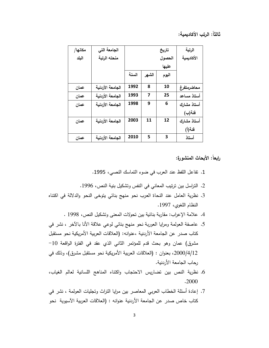ثالثاً: الرتب الأكاديمية:

| مكانها/ | الجامعة التي     |       |       | تاريخ  | الرتبة      |
|---------|------------------|-------|-------|--------|-------------|
| البلد   | منحته الرتبة     |       |       | الحصول | الأكاديمية  |
|         |                  |       |       | عليها  |             |
|         |                  | السنة | الشهر | اليوم  |             |
| عمان    | الجامعة الأردنية | 1992  | 8     | 10     | محاضرمتفرغ  |
| عمان    | الجامعة الأردنية | 1993  | 7     | 25     | أستاذ مساعد |
| عمان    | الجامعة الأردنية | 1998  | 9     | 6      | أستاذ مشارك |
|         |                  |       |       |        | فئة(ب)      |
| عمان    | الجامعة الأردنية | 2003  | 11    | 12     | أستاذ مشارك |
|         |                  |       |       |        | فئة(أ)      |
| عمان    | الجامعة الأردنية | 2010  | 5     | 3      | أستاذ       |

رابعاً: الأبحاث المنشورة:

- 1. نفاعل اللفظ عند العرب في ضوء التماسك النصبي، 1995.
- 2. التراسل بين ترتيب المعاني في النفس وتشكيل بنية النص، 1996.
- 3. نظرية العامل عند النحاة العرب نحو منهج بنائي يتوخى النحو والدلالة في اكتناه النظام اللغوى، 1997.
	- 4. علامة الإعراب: مقاربة بنائية بين تحولات المعنى وتشكيل النص، 1998 .
- 5. عاصفة العولمة ومرايا العوربة نحو منهج بنائي لوعي علاقة الأنا بالآخر ، نشر في كتاب صدر عن الجامعة الأردنية ،عنوانه: (العلاقات العربية الأمريكية نحو مستقبل مشرق) عمان وهو بحث قدم للمؤتمر الثاني الذي عقد في الفترة الواقعة 10-2000/4/12، بعنوان : (العلاقات العربية الأمريكية نحو مستقبل مشرق)، وذلك في رحاب الجامعة الأردنية.
- 6. نظرية النص بين تضاريس الاحتجاب واكتناه المناهج اللسانية لعالم الغياب، .2000
- 7. إعادة أسئلة الخطاب العربي المعاصر بين مرايا النراث وتجليات العولمة ، نشر في كتاب خاص صدر عن الجامعة الأردنية عنوانه : (العلاقات العربية الآسيوية نحو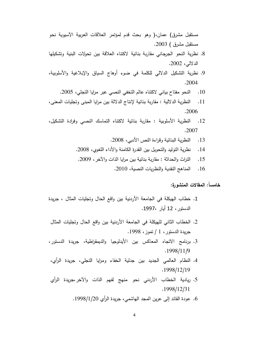مستقبل مشرق) عمان،( وهو بحث قدم لمؤتمر العلاقات العربية الأسيوية نحو مستقبل مشرق ) 2003.

- 8. نظرية النحو الجرجاني مقاربة بنائية لاكتناه العلاقة بين تحولات البنية وتشكيلها الدلالي، 2002.
- 9. نظرية التشكيل الدلالي للكلمة في ضوء أوهاج السياق والإبلاغية والأسلوبية، .2004
	- 10. النحو مفتاح بياني لاكتناه عالم التخفي النصبي عبر مرايا التجلي، 2005.
- النظرية الدلالية : مقاربة بنائية لإنتاج الدلالة بين مرايا المبنى وتجليات المعنى،  $\overline{\phantom{0}}$ .11 .2006
- النظرية الأسلوبية : مقاربة بنائية لاكتناه النماسك النصبي وفرادة التشكيل،  $.12$ .2007
	- النظرية البنائية وقراءة النص الأدبي، 2008.  $.13$
	- نظرية التوليد والتحويل بين القدرة الكامنة والأداء اللغوى، 2008.  $\cdot$ 14
	- التراث والحداثة : مقاربة بنائية بين مرايا الذات والآخر ، 2009.  $.15$ 
		- المناهج النقدية والنظريات النصية، 2010.  $.16$

خامساً: المقالات المنشورة:

- 1. خطاب الهيكلة في الجامعة الأردنية بين واقع الحال وتجليات المثال ، جريدة الدستور، 12 أيار ،1997.
- 2. الخطاب الثاني للهيكلة في الجامعة الأردنية بين واقع الحال وتجليات المثال جريدة الدستور ، 1 / تموز ، 1998.
- 3. برنامج الاتجاه المعاكس بين الأيدلوجيا والديمقراطية، جريدة الدستور،  $.1998/11/9$
- 4. النظام العالمي الجديد بين جدلية الخفاء ومرايا التجلي، جريدة الرأي، .1998/12/19
- 5. ريادية الخطاب الأردني نحو منهج لفهم الذات والآخر بجريدة الرأي  $.1998/12/31$ 
	- 6. عودة القائد إلى عرين المجد الهاشمي، جريدة الرأي 1998/1/20.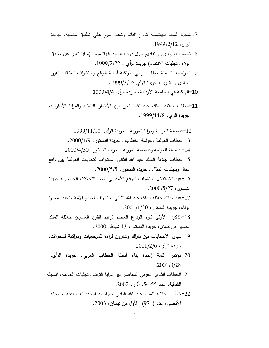- 7. شجرة المجد الـهاشمية نودع القائد ونعقد العزم علـى نطبيق منهجه، جريدة الرأى، 2/12/1999.
- 8. تماسك الأردنيين والتفافهم حول دوحة المجد الهاشمية (مرايا نعبر عن صدق الولاء وتجليات الانتماء) جريدة الرأي ، 22/2/ 1999.
- 9. المراجعة الشاملة خطاب أردني لمواكبة أسئلة الواقع واستشراف لمطالب القرن الحادي والعشرين، جريدة الرأي 1999/3/16.

10–الهيكلة في الجامعة الأربنية، جريدة الرأي 4/4/1999.

11–خطاب جلالة الملك عبد الله الثاني بين الأنظار البنائية والمرايا الأسلوبية، جريدة الرأي، 1999/11/8.

12–عاصفة العولمة ومرايا العوربة ، جريدة الرأي، 1999/11/10. 13-خطاب العولمة وعولمة الخطاب ، جريدة الدستور ، 2000/4/9. 14–عاصفة العولمة وعاصمة العوربة ، جريدة الدستور ، 2000/4/30. 15–خطاب جلالة الملك عبد الله الثاني استشراف لتحديات العولمة بين واقع الحال وتجليات المثال ، جريدة الدستور ، 2000/5/5. 16–عبد الاستقلال استشراف لموقع الأمة في ضوءِ التحولات الحضارية جريدة  $.2000/5/27$  الدستور ، 17–عيد ميلاد جلالة الملك عبد الله الثاني استشراف لموقع الأمة وتجديد مسيرة الوفاء، جريدة الدستور ، 2001/1/30. 18–الذكرى الأولى ليوم الوداع العظيم لزعيم القرن العشرين جلالة الملك الحسين بن طلال، جريدة الدستور ، 13 شباط، 2000. 19–سباق الانتخابات بين باراك وشارون قراءة للمرجعيات ومواكبة للتحولات، جريدة الرأي، 2001/*2/*06. 20-مؤتمر القمة إعادة بناء أسئلة الخطاب العربي، جريدة الرأى،  $.2001/3/28$ 21–الخطاب الثقافي العربي المعاصر بين مرايا النراث ونجليات العولمة، المجلة الثقافية، عدد 54،55، آذار ، 2002.

22-خطاب جلالة الملك عبد الله الثاني ومواجهة التحديات الراهنة ، مجلة الأقصبي، عدد (971)، الأول من نيسان، 2003.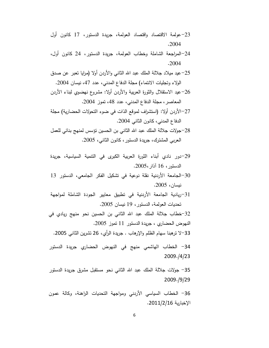- 23–عولمة الاقتصاد واقتصاد العولمة، جريدة الدستور، 17 كانون أول .2004
- 24–المراجعة الشاملة وخطاب العولمة، جريدة الدستور، 24 كانون أول، .2004
- 25–عيد ميلاد جلالة الملك عبد الله الثانبي والأردن أولا (مرايا نعبر عن صدق الولاء وتجليات الانتماء) مجلة الدفاع المدنى، عدد 47، نيسان 2004.
- 26–عيد الاستقلال والثورة العربية والأردن أولا: مشروع نـهضـوي لبناء الأردن المعاصر ، مجلة الدفاع المدنى، عدد 48، نموز 2004.
- 27–الأردن أولا: (استشراف لموقع الذات في ضوء التحولات الحضارية) مجلة الدفاع المدني، كانون الثاني 2004.
- 28–جولات جلالة الملك عبد الله الثاني بن الحسين نؤسس لمنهج بنائي للعمل العربي المشترك، جريدة الدستور ، كانون الثاني، 2005.
- 29–دور نادي أبناء الثورة العربية الكبرى في النتمية السياسية، جريدة الدستور، 16 آذار،2005.
- 30–الجامعة الأردنية نقلة نوعية في نشكيل الفكر الجامعي، الدستور 13 نبسان، 2005.
- 31–ريادية الجامعة الأردنية في تطبيق معايير الجودة الشاملة لمواجهة تحديات العولمة، الدستور ، 19 نيسان 2005.

32-خطاب جلالة الملك عبد الله الثاني بن الحسين نحو منهج ريادي في النهوض الحضاري ، جريدة الدستور 11 نموز 2005.

33–لا نرهبنا سهام الظلم والإرهاب . جريدة الرأي، 26 نشرين الثانبي 2005.

34– الخطاب الهاشمي منهج في النهوض الحضاري جريدة الدستور 2009./4/23

35– جولات جلالة الملك عبد الله الثاني نحو مستقبل مشرق جريدة الدستور 2009./9/29

36– الخطاب السياسي الأردني ومواجهة التحديات الراهنة، وكالة عمون الإخبارية 2011/2/16.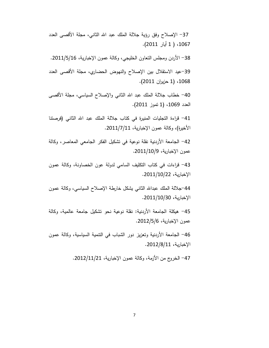37– الإصلاح وفق رؤية جلالة الملك عبد الله الثانبي، مجلة الأقصبي العدد 1067، ( 1 أيار 2011).

38– الأردن ومجلس التعاون الخليجي، وكالة عمون الإخبارية، 2011/5/16.

39-عيد الاستقلال بين الإصلاح والنهوض الحضاري، مجلة الأقصى العدد 1068، (1 حزيران 2011).

40– خطاب جلالة الملك عبد الله الثاني والإصلاح السياسي، مجلة الأقصىي العدد 1069، (1 نموز 2011).

41– قراءة التجليات المنيرة في كتاب جلالة الملك عبد الله الثاني (فرصتنا الأخيرة)، وكالة عمون الإخبارية، 2011/7/11.

42– الجامعة الأردنية نقلة نوعية في تشكيل الفكر الجامعي المعاصر، وكالة عمون الإخبارية، 2011/10/9.

43– قراءات في كتاب التكليف السامي لدولة عون الخصاونة، وكالة عمون الإخبارية، 2011/10/22.

44–جلالة الملك عبدالله الثانبي يشكل خارطة الإصلاح السياسي، وكالة عمون الإخبارية، 30/11/10/30.

45– هيكلة الجامعة الأردنية: نقلة نوعية نحو نشكيل جامعة عالمية، وكالة عمون الإخبارية، 2012/5/6.

46– الجامعة الأردنية وتعزيز دور الشباب في النتمية السياسية، وكالة عمون الإخبارية، 2012/8/11.

47– الخروج من الأزمة، وكالة عمون الإخبارية، 2012/11/21.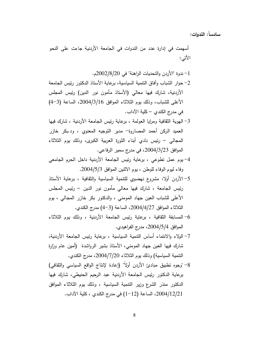سادساً: الندوات:

أسهمت في إدارة عدد من الندوات في الجامعة الأردنية جاءت على النحو الأتبي:

- 1– ندوة "الأردن والتحديات الراهنة" في 2002/8/200 م. 2– حوار الشباب وآفاق النتمية السياسية، برعاية الأستاذ الدكتور رئيس الجامعة الأردنية، شارك فيها معالى (الأستاذ مأمون نور الدين) رئيس المجلس الأعلى للشباب، وذلك يوم الثلاثاء الموافق 2004/3/16، الساعة (3-4) في مدرج الكندي – كلية الآداب.
- 3– المهوية الثقافية ومرايا العولمة ، برعاية رئيس الجامعة الأردنية ، شارك فيها العميد الركن أحمد المصاروة- مدير التوجيه المعنوي ، ود.بكر خازر المجالي – رئيس نادي أبناء الثورة العربية الكبرى، وذلك يوم الثلاثاء الموافق 2004/3/23، في مدرج سمير الرفاعي.
- 4– يوم عمل نطوعي ، برعاية رئيس الجامعة الأردنية داخل الحرم الجامعي وفاء ليوم الوفاء للوطن ، يوم الاثنين الموافق 2004/5/3.
- 5–الأردن أولا: مشروع نهضوي للتنمية السياسية والثقافية ، برعاية الأستاذ رئيس الجامعة ، شارك فيها معالى مأمون نور الدين – رئيس المجلس الأعلى للشباب العين جهاد المومني ، والدكتور بكر خازر المجالي ، يوم الثلاثاء الموافق 2004/4/27، الساعة (3–4) مدرج الكندي.
- 6– المسابقة الثقافية ، برعاية رئيس الجامعة الأردنية ، وذلك يوم الثلاثاء الموافق 5/4/2004، مدرج الفراهيدي.
- 7– الولاء والانتماء أساس التنمية السياسية ، برعاية رئيس الجامعة الأردنية، شارك فيها العين جهاد المومني، الأستاذ بشير الرواشدة (أمين عام وزارة النتمية السياسية) وذلك يوم الثلاثاء 2004/7/20، مدرج الكندي.
- 8- "وجوه نطبيق مبادئ الأردن أولاً" (إعادة لإنتاج الواقع السياسي والثقافي) برعاية الدكتور رئيس الجامعة الأردنية عبد الرحيم الحنيطي، شارك فيها الدكتور منذر الشرع وزير النتمية السياسية ، وذلك يوم الثلاثاء الموافق 2004/12/21، الساعة (12−1) في مدرج الكندي ، كلية الآداب.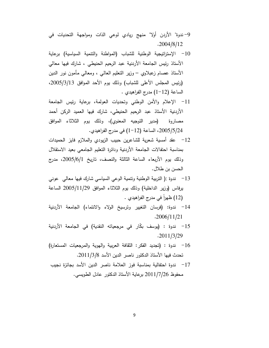- 9–ندوة" الأردن أولا" منهج ريادي لوعي الذات ومواجهة التحديات في  $.2004/8/12$
- 10 − الإستراتيجية الوطنية للشباب (المواطنة والنتمية السياسية) برعاية الأستاذ رئيس الجامعة الأردنية عبد الرحيم الحنيطي ، شارك فيها معالي الأستاذ عصـام زعبلاوي – وزير النـعليم الـعالـي ، ومـعالـي مـأمون نور الدين (رئيس المجلس الأعلى للشباب) وذلك بوم الأحد الموافق 2005/3/13، الساعة (12−1) مدرج الفراهيدي .
- 11– الإعلام والأمن الوطني وتحديات العولمة، برعاية رئيس الجامعة الأردنية الأستاذ عبد الرحيم الحنيطي، شارك فيها العميد الركن أحمد مصاروة (مدير التوجيه المعنوي)، وذلك يوم الثلاثاء الموافق 2005/5/24، الساعة (12−1) في مدرج الفراهيدي.
- 12– عقد أمسية شعرية للشاعرين حبيب الزيودي والملازم فايز الحميدات بمناسبة احتفالات الجامعة الأردنية ودائرة النعليم الجامعي بعيد الاستقلال وذلك يوم الأربعاء الساعة الثالثة والنصف، تاريخ 2005/6/1، مدرج الحسن بن طلال.
- 13− ندوة :( التربية الوطنية ونتمية الوعي السياسي شارك فيها معالى عوني يرفاس (وزير الداخلية) وذلك يوم الثلاثاء الموافق 2005/11/29 الساعة (12) ظهراً في مدرج الفراهيدي .
- 14– ندوة: (فرسان التغيير وترسيخ الولاء والانتماء) الجامعة الأردنية  $.2006/11/21$
- 15– ندوة : (يوسف بكّار في مرجعياته النقدية) في الجامعة الأردنية  $.2011/3/29$
- 16 ندوة : (تجديد الفكر : الثقافة العربية والهوية والمرجعيات المستعارة) تحدث فيها الأستاذ الدكتور ناصر الدين الأسد 2011/3/8.
- 17 ندوة احتفالية بمناسبة فوز العلامة ناصر الدين الأسد بجائزة نجيب محفوظ 2011/7/26 برعاية الأستاذ الدكتور عادل الطويسي.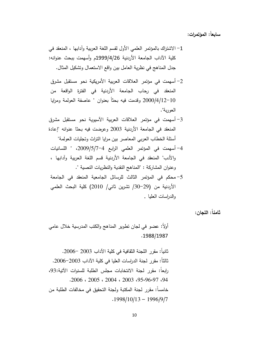سابعاً: المؤتمرات:

- 1–الاشتراك بالمؤتمر العلمي الأول لقسم اللغة العربية وآدابها ، المنعقد في كلية الآداب الجامعة الأردنية 1999/4/26م وأسهمت ببحث عنوانه: جدل المناهج في نظرية العامل بين واقع الاستعمال وتشكيل المثال.
- 2– أسهمت في مؤتمر العلاقات العربية الأمريكية نحو مستقبل مشرق المنعقد في رحاب الجامعة الأردنية في الفترة الواقعة من 10–2000/4/12 وقدمت فيه بحثاً بعنوان " عاصفة العولمة ومرايا العوربة".
- 3– أسهمت في مؤتمر العلاقات العربية الآسيوية نحو مستقبل مشرق المنعقد في الجامعة الأردنية 2003 وعرضت فيه بحثا عنوانه "إعادة أسئلة الخطاب العربي المعاصر بين مرايا النزاث وتجليات العولمة"
- 4– أسهمت في المؤتمر العلمي الرابع 4–2009/5/7، " اللسانيات والأدب" المنعقد في الجامعة الأردنية قسم اللغة العربية وآدابها ، وعنوان المشاركة : "المناهج النقدية والنظريات النصية ".
- 5- محكم في المؤتمر الثالث للرسائل الجامعية المنعقد في الجامعة الأردنية من (29–30/ تشرين ثاني/ 2010) كلية البحث العلمي والدراسات العليا .

ثامناً: اللجان:

أُولاً: عضو في لجان نطوير المناهج والكتب المدرسية خلال عامي .1988/1987

ثانياً: مقرر اللجنة الثقافية في كلية الآداب 2003 –2006. ثالثاً: مقرر لجنة الدراسات العليا في كلية الآداب 2003–2006. رابعاً: مقرر لجنة الانتخابات مجلس الطلبة للسنوات الآتية:93،  $.2006 \cdot 2005 \cdot 2004 \cdot 2003 \cdot 95.96.97.94$ خامساً: مقرر لجنة المكتبة ولجنة التحقيق في مخالفات الطلبة من  $.1998/10/13 - 1996/9/7$